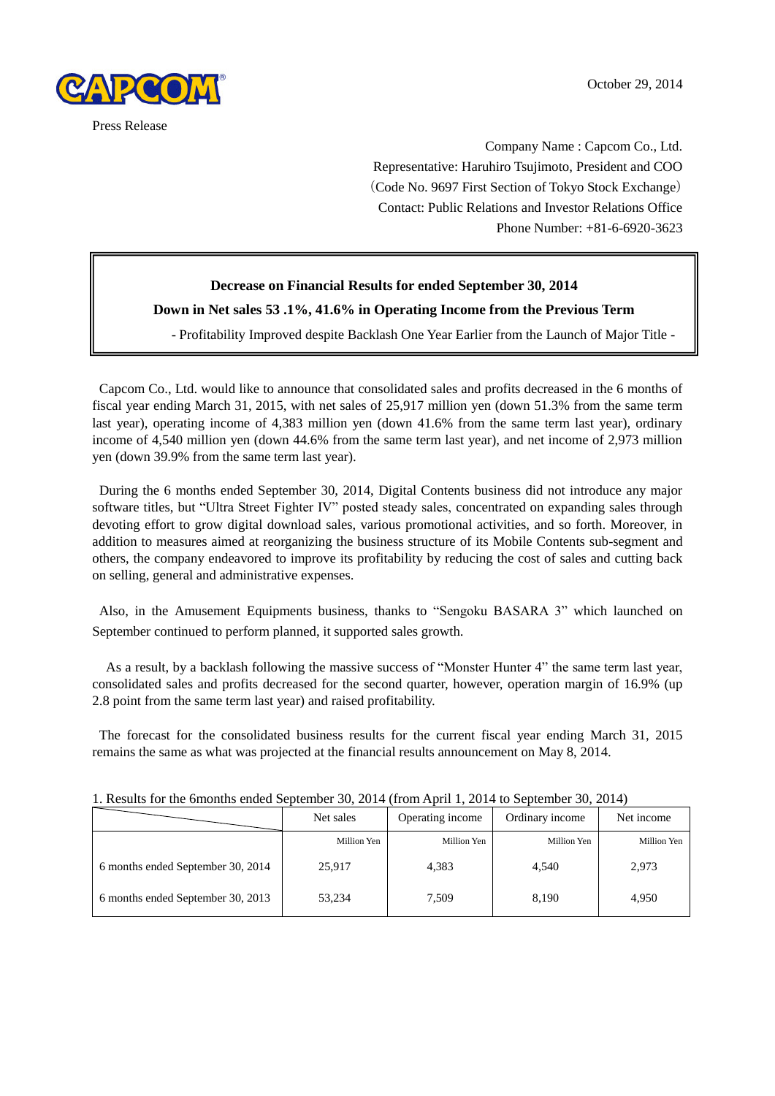

 Company Name : Capcom Co., Ltd. Representative: Haruhiro Tsujimoto, President and COO (Code No. 9697 First Section of Tokyo Stock Exchange) Contact: Public Relations and Investor Relations Office Phone Number: +81-6-6920-3623

# **Decrease on Financial Results for ended September 30, 2014**

# **Down in Net sales 53 .1%, 41.6% in Operating Income from the Previous Term**

- Profitability Improved despite Backlash One Year Earlier from the Launch of Major Title -

Capcom Co., Ltd. would like to announce that consolidated sales and profits decreased in the 6 months of fiscal year ending March 31, 2015, with net sales of 25,917 million yen (down 51.3% from the same term last year), operating income of 4,383 million yen (down 41.6% from the same term last year), ordinary income of 4,540 million yen (down 44.6% from the same term last year), and net income of 2,973 million yen (down 39.9% from the same term last year).

During the 6 months ended September 30, 2014, Digital Contents business did not introduce any major software titles, but "Ultra Street Fighter IV" posted steady sales, concentrated on expanding sales through devoting effort to grow digital download sales, various promotional activities, and so forth. Moreover, in addition to measures aimed at reorganizing the business structure of its Mobile Contents sub-segment and others, the company endeavored to improve its profitability by reducing the cost of sales and cutting back on selling, general and administrative expenses.

Also, in the Amusement Equipments business, thanks to "Sengoku BASARA 3" which launched on September continued to perform planned, it supported sales growth.

As a result, by a backlash following the massive success of "Monster Hunter 4" the same term last year, consolidated sales and profits decreased for the second quarter, however, operation margin of 16.9% (up 2.8 point from the same term last year) and raised profitability.

The forecast for the consolidated business results for the current fiscal year ending March 31, 2015 remains the same as what was projected at the financial results announcement on May 8, 2014.

|                                   | Operating income<br>Net sales |             | Ordinary income | Net income  |
|-----------------------------------|-------------------------------|-------------|-----------------|-------------|
|                                   | Million Yen                   | Million Yen | Million Yen     | Million Yen |
| 6 months ended September 30, 2014 | 25,917                        | 4,383       | 4.540           | 2,973       |
| 6 months ended September 30, 2013 | 53,234                        | 7,509       | 8,190           | 4.950       |

1. Results for the 6months ended September 30, 2014 (from April 1, 2014 to September 30, 2014)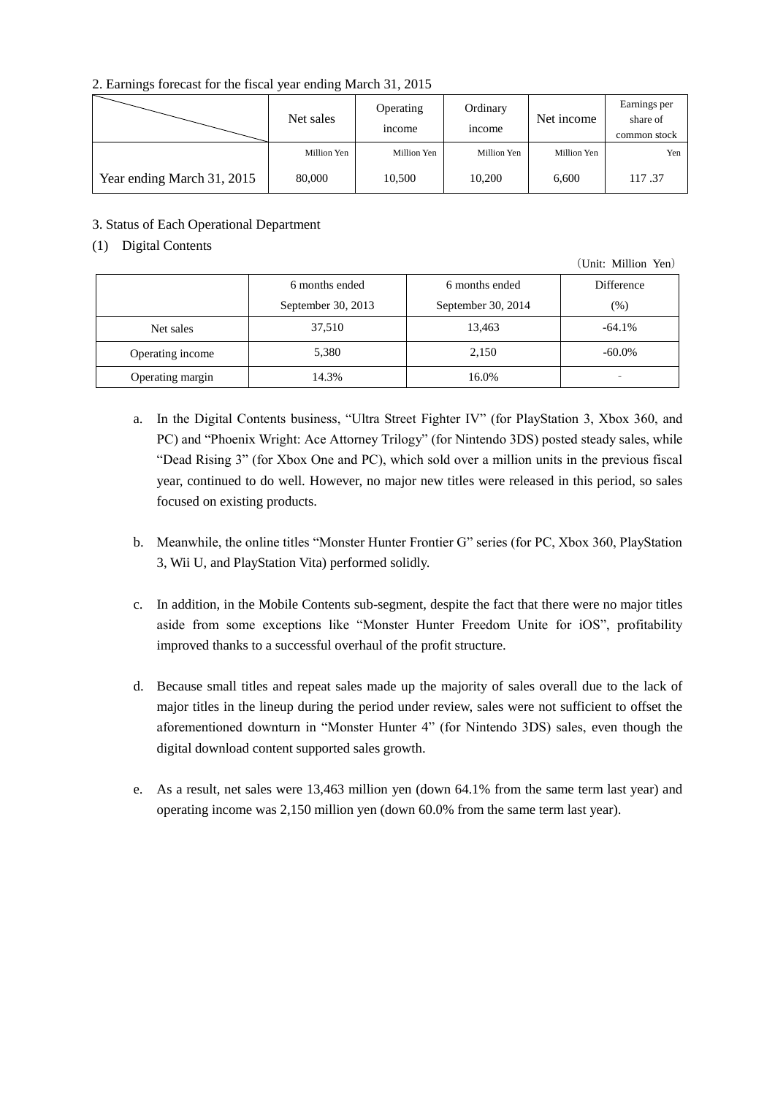### 2. Earnings forecast for the fiscal year ending March 31, 2015

|                            | Net sales   | Operating<br><i>n</i> come | Ordinary<br><i>n</i> come | Net income  | Earnings per<br>share of<br>common stock |
|----------------------------|-------------|----------------------------|---------------------------|-------------|------------------------------------------|
|                            | Million Yen | Million Yen                | Million Yen               | Million Yen | Yen                                      |
| Year ending March 31, 2015 | 80,000      | 10,500                     | 10,200                    | 6,600       | 117.37                                   |

# 3. Status of Each Operational Department

# (1) Digital Contents

(Unit: Million Yen)

|                  | 6 months ended     | 6 months ended     | Difference |
|------------------|--------------------|--------------------|------------|
|                  | September 30, 2013 | September 30, 2014 | $(\% )$    |
| Net sales        | 37,510             | 13,463             | $-64.1\%$  |
| Operating income | 5,380              | 2,150              | $-60.0\%$  |
| Operating margin | 14.3%              | 16.0%              | -          |

- a. In the Digital Contents business, "Ultra Street Fighter IV" (for PlayStation 3, Xbox 360, and PC) and "Phoenix Wright: Ace Attorney Trilogy" (for Nintendo 3DS) posted steady sales, while "Dead Rising 3" (for Xbox One and PC), which sold over a million units in the previous fiscal year, continued to do well. However, no major new titles were released in this period, so sales focused on existing products.
- b. Meanwhile, the online titles "Monster Hunter Frontier G" series (for PC, Xbox 360, PlayStation 3, Wii U, and PlayStation Vita) performed solidly.
- c. In addition, in the Mobile Contents sub-segment, despite the fact that there were no major titles aside from some exceptions like "Monster Hunter Freedom Unite for iOS", profitability improved thanks to a successful overhaul of the profit structure.
- d. Because small titles and repeat sales made up the majority of sales overall due to the lack of major titles in the lineup during the period under review, sales were not sufficient to offset the aforementioned downturn in "Monster Hunter 4" (for Nintendo 3DS) sales, even though the digital download content supported sales growth.
- e. As a result, net sales were 13,463 million yen (down 64.1% from the same term last year) and operating income was 2,150 million yen (down 60.0% from the same term last year).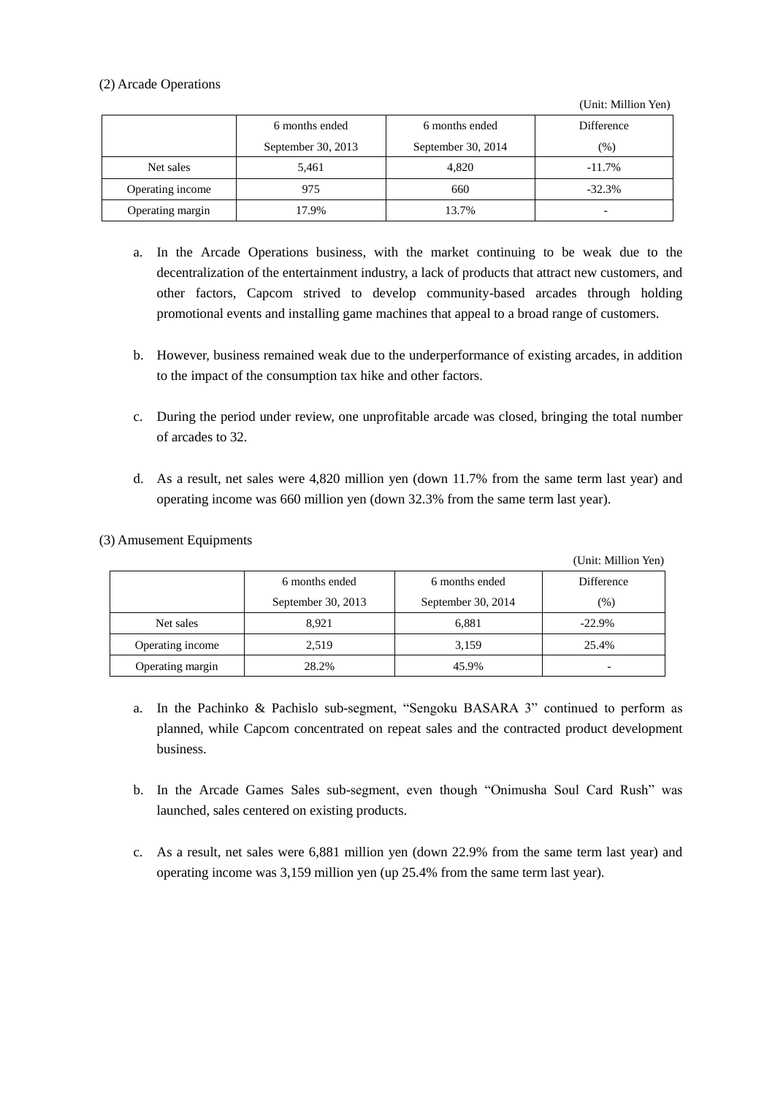### (2) Arcade Operations

(Unit: Million Yen)

|                  | 6 months ended     | 6 months ended     | <b>Difference</b> |
|------------------|--------------------|--------------------|-------------------|
|                  | September 30, 2013 | September 30, 2014 | (% )              |
| Net sales        | 5,461              | 4.820              | $-11.7\%$         |
| Operating income | 975                | 660                | $-32.3%$          |
| Operating margin | 17.9%              | 13.7%              |                   |

- a. In the Arcade Operations business, with the market continuing to be weak due to the decentralization of the entertainment industry, a lack of products that attract new customers, and other factors, Capcom strived to develop community-based arcades through holding promotional events and installing game machines that appeal to a broad range of customers.
- b. However, business remained weak due to the underperformance of existing arcades, in addition to the impact of the consumption tax hike and other factors.
- c. During the period under review, one unprofitable arcade was closed, bringing the total number of arcades to 32.
- d. As a result, net sales were 4,820 million yen (down 11.7% from the same term last year) and operating income was 660 million yen (down 32.3% from the same term last year).

### (3) Amusement Equipments

(Unit: Million Yen)

|                  | 6 months ended     | 6 months ended     | Difference |
|------------------|--------------------|--------------------|------------|
|                  | September 30, 2013 | September 30, 2014 | $(\%)$     |
| Net sales        | 8,921              | 6,881              | $-22.9\%$  |
| Operating income | 2,519              | 3,159              | 25.4%      |
| Operating margin | 28.2%              | 45.9%              |            |

- a. In the Pachinko & Pachislo sub-segment, "Sengoku BASARA 3" continued to perform as planned, while Capcom concentrated on repeat sales and the contracted product development business.
- b. In the Arcade Games Sales sub-segment, even though "Onimusha Soul Card Rush" was launched, sales centered on existing products.
- c. As a result, net sales were 6,881 million yen (down 22.9% from the same term last year) and operating income was 3,159 million yen (up 25.4% from the same term last year).